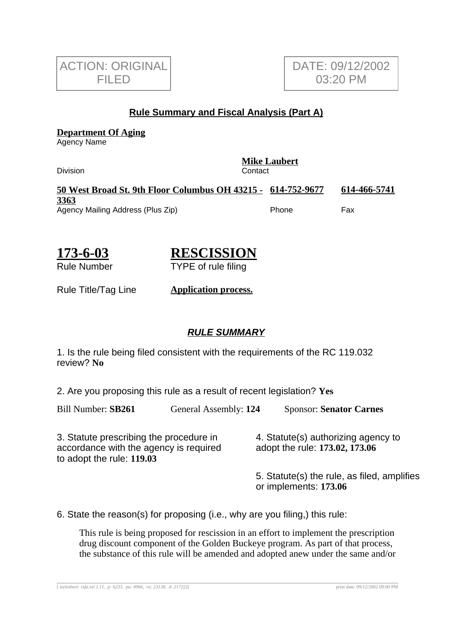

### **Rule Summary and Fiscal Analysis (Part A)**

**Department Of Aging**

Agency Name

Division **Contact** 

## **Mike Laubert**

**50 West Broad St. 9th Floor Columbus OH 43215 - 614-752-9677 614-466-5741 3363** Agency Mailing Address (Plus Zip) entitled the Second Phone Fax

**173-6-03**

Rule Number

# **RESCISSION**

TYPE of rule filing

Rule Title/Tag Line **Application process.**

## **RULE SUMMARY**

1. Is the rule being filed consistent with the requirements of the RC 119.032 review? **No**

2. Are you proposing this rule as a result of recent legislation? **Yes**

Bill Number: **SB261** General Assembly: **124** Sponsor: **Senator Carnes**

3. Statute prescribing the procedure in accordance with the agency is required to adopt the rule: **119.03**

4. Statute(s) authorizing agency to adopt the rule: **173.02, 173.06**

5. Statute(s) the rule, as filed, amplifies or implements: **173.06**

6. State the reason(s) for proposing (i.e., why are you filing,) this rule:

This rule is being proposed for rescission in an effort to implement the prescription drug discount component of the Golden Buckeye program. As part of that process, the substance of this rule will be amended and adopted anew under the same and/or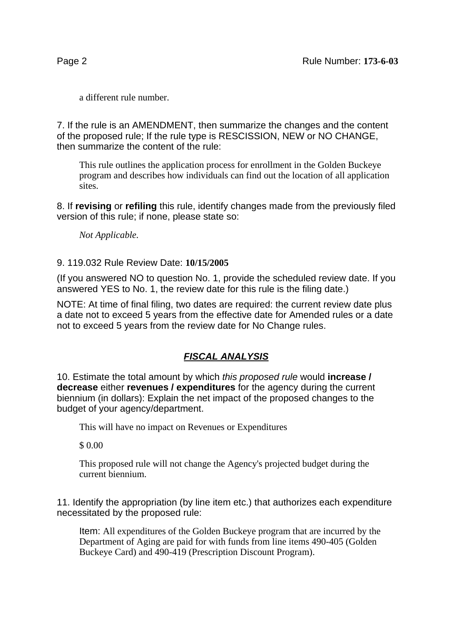a different rule number.

7. If the rule is an AMENDMENT, then summarize the changes and the content of the proposed rule; If the rule type is RESCISSION, NEW or NO CHANGE, then summarize the content of the rule:

This rule outlines the application process for enrollment in the Golden Buckeye program and describes how individuals can find out the location of all application sites.

8. If **revising** or **refiling** this rule, identify changes made from the previously filed version of this rule; if none, please state so:

*Not Applicable.*

9. 119.032 Rule Review Date: **10/15/2005**

(If you answered NO to question No. 1, provide the scheduled review date. If you answered YES to No. 1, the review date for this rule is the filing date.)

NOTE: At time of final filing, two dates are required: the current review date plus a date not to exceed 5 years from the effective date for Amended rules or a date not to exceed 5 years from the review date for No Change rules.

## **FISCAL ANALYSIS**

10. Estimate the total amount by which this proposed rule would **increase / decrease** either **revenues / expenditures** for the agency during the current biennium (in dollars): Explain the net impact of the proposed changes to the budget of your agency/department.

This will have no impact on Revenues or Expenditures

\$ 0.00

This proposed rule will not change the Agency's projected budget during the current biennium.

11. Identify the appropriation (by line item etc.) that authorizes each expenditure necessitated by the proposed rule:

Item: All expenditures of the Golden Buckeye program that are incurred by the Department of Aging are paid for with funds from line items 490-405 (Golden Buckeye Card) and 490-419 (Prescription Discount Program).